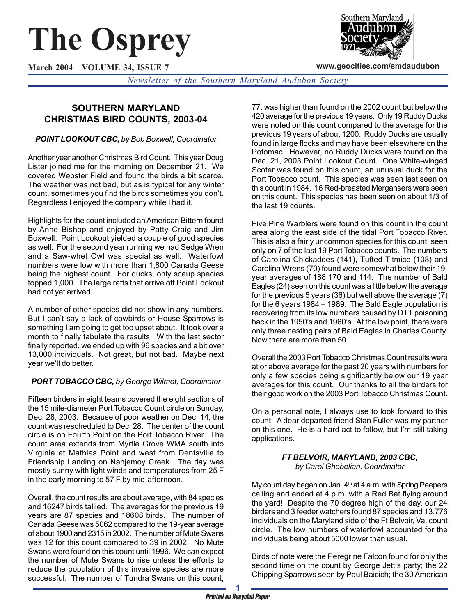# **The Osprey**

**March 2004 VOLUME 34, ISSUE 7**



**www.geocities.com/smdaudubon**

*Newsletter of the Southern Maryland Audubon Society*

# **SOUTHERN MARYLAND CHRISTMAS BIRD COUNTS, 2003-04**

## *POINT LOOKOUT CBC, by Bob Boxwell, Coordinator*

Another year another Christmas Bird Count. This year Doug Lister joined me for the morning on December 21. We covered Webster Field and found the birds a bit scarce. The weather was not bad, but as is typical for any winter count, sometimes you find the birds sometimes you don't. Regardless I enjoyed the company while I had it.

Highlights for the count included an American Bittern found by Anne Bishop and enjoyed by Patty Craig and Jim Boxwell. Point Lookout yielded a couple of good species as well. For the second year running we had Sedge Wren and a Saw-whet Owl was special as well. Waterfowl numbers were low with more than 1,800 Canada Geese being the highest count. For ducks, only scaup species topped 1,000. The large rafts that arrive off Point Lookout had not yet arrived.

A number of other species did not show in any numbers. But I can't say a lack of cowbirds or House Sparrows is something I am going to get too upset about. It took over a month to finally tabulate the results. With the last sector finally reported, we ended up with 96 species and a bit over 13,000 individuals. Not great, but not bad. Maybe next year we'll do better.

## *PORT TOBACCO CBC, by George Wilmot, Coordinator*

Fifteen birders in eight teams covered the eight sections of the 15 mile-diameter Port Tobacco Count circle on Sunday, Dec. 28, 2003. Because of poor weather on Dec. 14, the count was rescheduled to Dec. 28. The center of the count circle is on Fourth Point on the Port Tobacco River. The count area extends from Myrtle Grove WMA south into Virginia at Mathias Point and west from Dentsville to Friendship Landing on Nanjemoy Creek. The day was mostly sunny with light winds and temperatures from 25 F in the early morning to 57 F by mid-afternoon.

Overall, the count results are about average, with 84 species and 16247 birds tallied. The averages for the previous 19 years are 87 species and 18608 birds. The number of Canada Geese was 5062 compared to the 19-year average of about 1900 and 2315 in 2002. The number of Mute Swans was 12 for this count compared to 39 in 2002. No Mute Swans were found on this count until 1996. We can expect the number of Mute Swans to rise unless the efforts to reduce the population of this invasive species are more successful. The number of Tundra Swans on this count,

77, was higher than found on the 2002 count but below the 420 average for the previous 19 years. Only 19 Ruddy Ducks were noted on this count compared to the average for the previous 19 years of about 1200. Ruddy Ducks are usually found in large flocks and may have been elsewhere on the Potomac. However, no Ruddy Ducks were found on the Dec. 21, 2003 Point Lookout Count. One White-winged Scoter was found on this count, an unusual duck for the Port Tobacco count. This species was seen last seen on this count in 1984. 16 Red-breasted Mergansers were seen on this count. This species has been seen on about 1/3 of the last 19 counts.

Five Pine Warblers were found on this count in the count area along the east side of the tidal Port Tobacco River. This is also a fairly uncommon species for this count, seen only on 7 of the last 19 Port Tobacco counts. The numbers of Carolina Chickadees (141), Tufted Titmice (108) and Carolina Wrens (70) found were somewhat below their 19 year averages of 188,170 and 114. The number of Bald Eagles (24) seen on this count was a little below the average for the previous 5 years (36) but well above the average (7) for the 6 years 1984 – 1989. The Bald Eagle population is recovering from its low numbers caused by DTT poisoning back in the 1950's and 1960's. At the low point, there were only three nesting pairs of Bald Eagles in Charles County. Now there are more than 50.

Overall the 2003 Port Tobacco Christmas Count results were at or above average for the past 20 years with numbers for only a few species being significantly below our 19 year averages for this count. Our thanks to all the birders for their good work on the 2003 Port Tobacco Christmas Count.

On a personal note, I always use to look forward to this count. A dear departed friend Stan Fuller was my partner on this one. He is a hard act to follow, but I'm still taking applications.

#### *FT BELVOIR, MARYLAND, 2003 CBC, by Carol Ghebelian, Coordinator*

My count day began on Jan.  $4<sup>th</sup>$  at 4 a.m. with Spring Peepers calling and ended at 4 p.m. with a Red Bat flying around the yard! Despite the 70 degree high of the day, our 24 birders and 3 feeder watchers found 87 species and 13,776 individuals on the Maryland side of the Ft Belvoir, Va. count circle. The low numbers of waterfowl accounted for the individuals being about 5000 lower than usual.

Birds of note were the Peregrine Falcon found for only the second time on the count by George Jett's party; the 22 Chipping Sparrows seen by Paul Baicich; the 30 American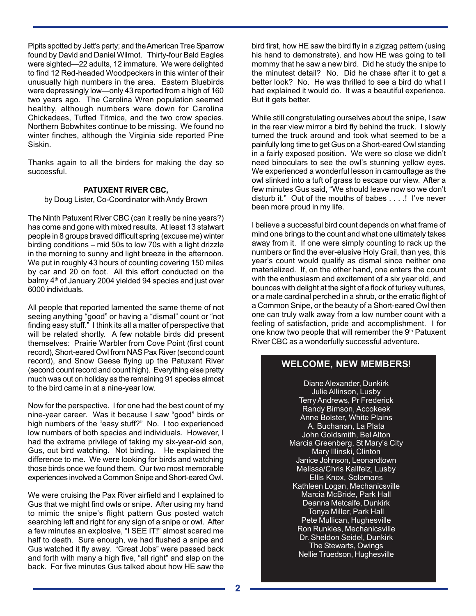Pipits spotted by Jett's party; and the American Tree Sparrow found by David and Daniel Wilmot. Thirty-four Bald Eagles were sighted—22 adults, 12 immature. We were delighted to find 12 Red-headed Woodpeckers in this winter of their unusually high numbers in the area. Eastern Bluebirds were depressingly low—only 43 reported from a high of 160 two years ago. The Carolina Wren population seemed healthy, although numbers were down for Carolina Chickadees, Tufted Titmice, and the two crow species. Northern Bobwhites continue to be missing. We found no winter finches, although the Virginia side reported Pine Siskin.

Thanks again to all the birders for making the day so successful.

#### **PATUXENT RIVER CBC,**

by Doug Lister, Co-Coordinator with Andy Brown

The Ninth Patuxent River CBC (can it really be nine years?) has come and gone with mixed results. At least 13 stalwart people in 8 groups braved difficult spring (excuse me) winter birding conditions – mid 50s to low 70s with a light drizzle in the morning to sunny and light breeze in the afternoon. We put in roughly 43 hours of counting covering 150 miles by car and 20 on foot. All this effort conducted on the balmy 4<sup>th</sup> of January 2004 yielded 94 species and just over 6000 individuals.

All people that reported lamented the same theme of not seeing anything "good" or having a "dismal" count or "not finding easy stuff." I think its all a matter of perspective that will be related shortly. A few notable birds did present themselves: Prairie Warbler from Cove Point (first count record), Short-eared Owl from NAS Pax River (second count record), and Snow Geese flying up the Patuxent River (second count record and count high). Everything else pretty much was out on holiday as the remaining 91 species almost to the bird came in at a nine-year low.

Now for the perspective. I for one had the best count of my nine-year career. Was it because I saw "good" birds or high numbers of the "easy stuff?" No. I too experienced low numbers of both species and individuals. However, I had the extreme privilege of taking my six-year-old son, Gus, out bird watching. Not birding. He explained the difference to me. We were looking for birds and watching those birds once we found them. Our two most memorable experiences involved a Common Snipe and Short-eared Owl.

We were cruising the Pax River airfield and I explained to Gus that we might find owls or snipe. After using my hand to mimic the snipe's flight pattern Gus posted watch searching left and right for any sign of a snipe or owl. After a few minutes an explosive, "I SEE IT!" almost scared me half to death. Sure enough, we had flushed a snipe and Gus watched it fly away. "Great Jobs" were passed back and forth with many a high five, "all right" and slap on the back. For five minutes Gus talked about how HE saw the

bird first, how HE saw the bird fly in a zigzag pattern (using his hand to demonstrate), and how HE was going to tell mommy that he saw a new bird. Did he study the snipe to the minutest detail? No. Did he chase after it to get a better look? No. He was thrilled to see a bird do what I had explained it would do. It was a beautiful experience. But it gets better.

While still congratulating ourselves about the snipe, I saw in the rear view mirror a bird fly behind the truck. I slowly turned the truck around and took what seemed to be a painfully long time to get Gus on a Short-eared Owl standing in a fairly exposed position. We were so close we didn't need binoculars to see the owl's stunning yellow eyes. We experienced a wonderful lesson in camouflage as the owl slinked into a tuft of grass to escape our view. After a few minutes Gus said, "We should leave now so we don't disturb it." Out of the mouths of babes . . . .! I've never been more proud in my life.

I believe a successful bird count depends on what frame of mind one brings to the count and what one ultimately takes away from it. If one were simply counting to rack up the numbers or find the ever-elusive Holy Grail, than yes, this year's count would qualify as dismal since neither one materialized. If, on the other hand, one enters the count with the enthusiasm and excitement of a six year old, and bounces with delight at the sight of a flock of turkey vultures, or a male cardinal perched in a shrub, or the erratic flight of a Common Snipe, or the beauty of a Short-eared Owl then one can truly walk away from a low number count with a feeling of satisfaction, pride and accomplishment. I for one know two people that will remember the 9<sup>th</sup> Patuxent River CBC as a wonderfully successful adventure.

## **WELCOME, NEW MEMBERS**!

Diane Alexander, Dunkirk Julie Allinson, Lusby Terry Andrews, Pr Frederick Randy Bimson, Accokeek Anne Bolster, White Plains A. Buchanan, La Plata John Goldsmith, Bel Alton Marcia Greenberg, St Mary's City Mary Illinski, Clinton Janice Johnson, Leonardtown Melissa/Chris Kallfelz, Lusby Ellis Knox, Solomons Kathleen Logan, Mechanicsville Marcia McBride, Park Hall Deanna Metcalfe, Dunkirk Tonya Miller, Park Hall Pete Mullican, Hughesville Ron Runkles, Mechanicsville Dr. Sheldon Seidel, Dunkirk The Stewarts, Owings Nellie Truedson, Hughesville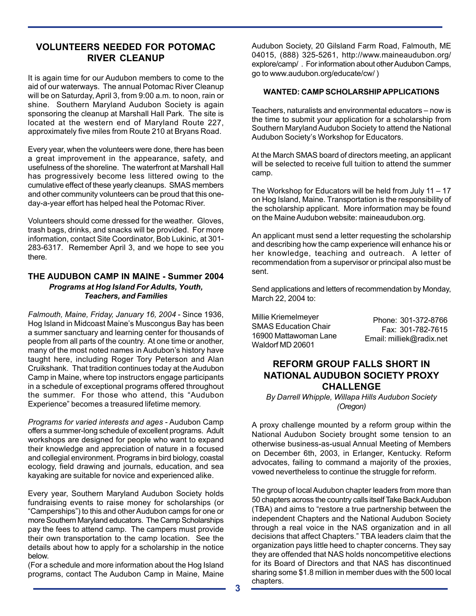## **VOLUNTEERS NEEDED FOR POTOMAC RIVER CLEANUP**

It is again time for our Audubon members to come to the aid of our waterways. The annual Potomac River Cleanup will be on Saturday, April 3, from 9:00 a.m. to noon, rain or shine. Southern Maryland Audubon Society is again sponsoring the cleanup at Marshall Hall Park. The site is located at the western end of Maryland Route 227, approximately five miles from Route 210 at Bryans Road.

Every year, when the volunteers were done, there has been a great improvement in the appearance, safety, and usefulness of the shoreline. The waterfront at Marshall Hall has progressively become less littered owing to the cumulative effect of these yearly cleanups. SMAS members and other community volunteers can be proud that this oneday-a-year effort has helped heal the Potomac River.

Volunteers should come dressed for the weather. Gloves, trash bags, drinks, and snacks will be provided. For more information, contact Site Coordinator, Bob Lukinic, at 301- 283-6317. Remember April 3, and we hope to see you there.

#### **THE AUDUBON CAMP IN MAINE - Summer 2004** *Programs at Hog Island For Adults, Youth, Teachers, and Families*

*Falmouth, Maine, Friday, January 16, 2004* - Since 1936, Hog Island in Midcoast Maine's Muscongus Bay has been a summer sanctuary and learning center for thousands of people from all parts of the country. At one time or another, many of the most noted names in Audubon's history have taught here, including Roger Tory Peterson and Alan Cruikshank. That tradition continues today at the Audubon Camp in Maine, where top instructors engage participants in a schedule of exceptional programs offered throughout the summer. For those who attend, this "Audubon Experience" becomes a treasured lifetime memory.

*Programs for varied interests and ages* - Audubon Camp offers a summer-long schedule of excellent programs. Adult workshops are designed for people who want to expand their knowledge and appreciation of nature in a focused and collegial environment. Programs in bird biology, coastal ecology, field drawing and journals, education, and sea kayaking are suitable for novice and experienced alike.

Every year, Southern Maryland Audubon Society holds fundraising events to raise money for scholarships (or "Camperships") to this and other Audubon camps for one or more Southern Maryland educators. The Camp Scholarships pay the fees to attend camp. The campers must provide their own transportation to the camp location. See the details about how to apply for a scholarship in the notice below.

(For a schedule and more information about the Hog Island programs, contact The Audubon Camp in Maine, Maine Audubon Society, 20 Gilsland Farm Road, Falmouth, ME 04015, (888) 325-5261, http://www.maineaudubon.org/ explore/camp/ . For information about other Audubon Camps, go to www.audubon.org/educate/cw/ )

#### **WANTED: CAMP SCHOLARSHIP APPLICATIONS**

Teachers, naturalists and environmental educators – now is the time to submit your application for a scholarship from Southern Maryland Audubon Society to attend the National Audubon Society's Workshop for Educators.

At the March SMAS board of directors meeting, an applicant will be selected to receive full tuition to attend the summer camp.

The Workshop for Educators will be held from July 11 – 17 on Hog Island, Maine. Transportation is the responsibility of the scholarship applicant. More information may be found on the Maine Audubon website: maineaudubon.org.

An applicant must send a letter requesting the scholarship and describing how the camp experience will enhance his or her knowledge, teaching and outreach. A letter of recommendation from a supervisor or principal also must be sent.

Send applications and letters of recommendation by Monday, March 22, 2004 to:

| Millie Kriemelmeyer   | Phone: 301-372-8766      |
|-----------------------|--------------------------|
| SMAS Education Chair  | Fax: 301-782-7615        |
| 16900 Mattawoman Lane | Email: milliek@radix.net |
| Waldorf MD 20601      |                          |

## **REFORM GROUP FALLS SHORT IN NATIONAL AUDUBON SOCIETY PROXY CHALLENGE**

*By Darrell Whipple, Willapa Hills Audubon Society (Oregon)*

A proxy challenge mounted by a reform group within the National Audubon Society brought some tension to an otherwise business-as-usual Annual Meeting of Members on December 6th, 2003, in Erlanger, Kentucky. Reform advocates, failing to command a majority of the proxies, vowed nevertheless to continue the struggle for reform.

The group of local Audubon chapter leaders from more than 50 chapters across the country calls itself Take Back Audubon (TBA) and aims to "restore a true partnership between the independent Chapters and the National Audubon Society through a real voice in the NAS organization and in all decisions that affect Chapters." TBA leaders claim that the organization pays little heed to chapter concerns. They say they are offended that NAS holds noncompetitive elections for its Board of Directors and that NAS has discontinued sharing some \$1.8 million in member dues with the 500 local chapters.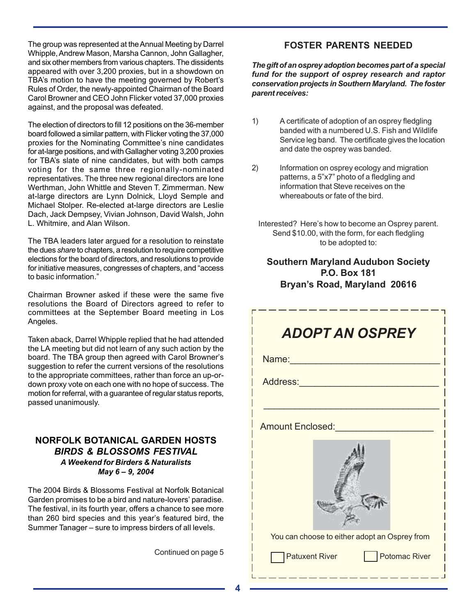The group was represented at the Annual Meeting by Darrel Whipple, Andrew Mason, Marsha Cannon, John Gallagher, and six other members from various chapters. The dissidents appeared with over 3,200 proxies, but in a showdown on TBA's motion to have the meeting governed by Robert's Rules of Order, the newly-appointed Chairman of the Board Carol Browner and CEO John Flicker voted 37,000 proxies against, and the proposal was defeated.

The election of directors to fill 12 positions on the 36-member board followed a similar pattern, with Flicker voting the 37,000 proxies for the Nominating Committee's nine candidates for at-large positions, and with Gallagher voting 3,200 proxies for TBA's slate of nine candidates, but with both camps voting for the same three regionally-nominated representatives. The three new regional directors are Ione Werthman, John Whittle and Steven T. Zimmerman. New at-large directors are Lynn Dolnick, Lloyd Semple and Michael Stolper. Re-elected at-large directors are Leslie Dach, Jack Dempsey, Vivian Johnson, David Walsh, John L. Whitmire, and Alan Wilson.

The TBA leaders later argued for a resolution to reinstate the dues *share* to chapters, a resolution to require competitive elections for the board of directors, and resolutions to provide for initiative measures, congresses of chapters, and "access to basic information."

Chairman Browner asked if these were the same five resolutions the Board of Directors agreed to refer to committees at the September Board meeting in Los Angeles.

Taken aback, Darrel Whipple replied that he had attended the LA meeting but did not learn of any such action by the board. The TBA group then agreed with Carol Browner's suggestion to refer the current versions of the resolutions to the appropriate committees, rather than force an up-ordown proxy vote on each one with no hope of success. The motion for referral, with a guarantee of regular status reports, passed unanimously.

## **NORFOLK BOTANICAL GARDEN HOSTS** *BIRDS & BLOSSOMS FESTIVAL A Weekend for Birders & Naturalists May 6 – 9, 2004*

The 2004 Birds & Blossoms Festival at Norfolk Botanical Garden promises to be a bird and nature-lovers' paradise. The festival, in its fourth year, offers a chance to see more than 260 bird species and this year's featured bird, the Summer Tanager – sure to impress birders of all levels.

Continued on page 5

## **FOSTER PARENTS NEEDED**

*The gift of an osprey adoption becomes part of a special fund for the support of osprey research and raptor conservation projects in Southern Maryland. The foster parent receives:*

- 1) A certificate of adoption of an osprey fledgling banded with a numbered U.S. Fish and Wildlife Service leg band. The certificate gives the location and date the osprey was banded.
- 2) Information on osprey ecology and migration patterns, a 5"x7" photo of a fledgling and information that Steve receives on the whereabouts or fate of the bird.
	- Interested? Here's how to become an Osprey parent. Send \$10.00, with the form, for each fledgling to be adopted to:

# **Southern Maryland Audubon Society P.O. Box 181 Bryan's Road, Maryland 20616**

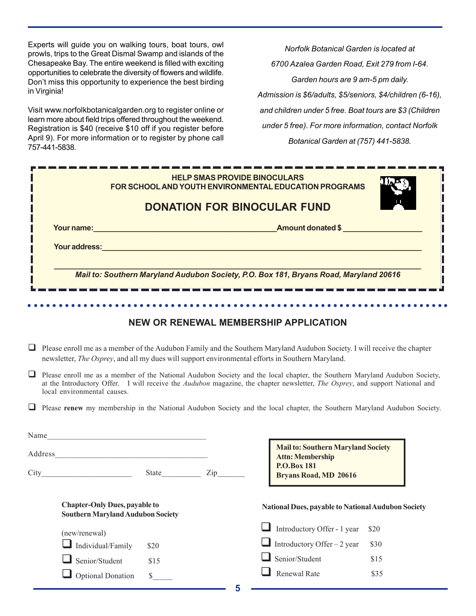Experts will guide you on walking tours, boat tours, owl prowls, trips to the Great Dismal Swamp and islands of the Chesapeake Bay. The entire weekend is filled with exciting opportunities to celebrate the diversity of flowers and wildlife. Don't miss this opportunity to experience the best birding in Virginia!

Visit www.norfolkbotanicalgarden.org to register online or learn more about field trips offered throughout the weekend. Registration is \$40 (receive \$10 off if you register before April 9). For more information or to register by phone call 757-441-5838.

Optional Donation  $\quad$ 

*Norfolk Botanical Garden is located at 6700 Azalea Garden Road, Exit 279 from I-64. Garden hours are 9 am-5 pm daily. Admission is \$6/adults, \$5/seniors, \$4/children (6-16), and children under 5 free. Boat tours are \$3 (Children under 5 free). For more information, contact Norfolk Botanical Garden at (757) 441-5838.*

|                                                                                                                                                                                                                                             | <b>HELP SMAS PROVIDE BINOCULARS</b><br>FOR SCHOOL AND YOUTH ENVIRONMENTAL EDUCATION PROGRAMS<br><b>DONATION FOR BINOCULAR FUND</b> |      |  |                                                                                                                                                                                                                                                            |  |  |
|---------------------------------------------------------------------------------------------------------------------------------------------------------------------------------------------------------------------------------------------|------------------------------------------------------------------------------------------------------------------------------------|------|--|------------------------------------------------------------------------------------------------------------------------------------------------------------------------------------------------------------------------------------------------------------|--|--|
|                                                                                                                                                                                                                                             |                                                                                                                                    |      |  | Your name: <u>New Your name:</u> New Your name: New Your name: New Your name: New Your name: New Your New Your New Your New York New York New York New York New York New York New York New York New York New York New York New York                        |  |  |
|                                                                                                                                                                                                                                             |                                                                                                                                    |      |  | <b>Your address: All and the contract of the contract of the contract of the contract of the contract of the contract of the contract of the contract of the contract of the contract of the contract of the contract of the con</b>                       |  |  |
|                                                                                                                                                                                                                                             | Mail to: Southern Maryland Audubon Society, P.O. Box 181, Bryans Road, Maryland 20616                                              |      |  |                                                                                                                                                                                                                                                            |  |  |
|                                                                                                                                                                                                                                             |                                                                                                                                    |      |  | <b>NEW OR RENEWAL MEMBERSHIP APPLICATION</b>                                                                                                                                                                                                               |  |  |
| $\Box$ Please enroll me as a member of the Audubon Family and the Southern Maryland Audubon Society. I will receive the chapter<br>newsletter, <i>The Osprey</i> , and all my dues will support environmental efforts in Southern Maryland. |                                                                                                                                    |      |  |                                                                                                                                                                                                                                                            |  |  |
| $\Box$                                                                                                                                                                                                                                      | local environmental causes.                                                                                                        |      |  | Please enroll me as a member of the National Audubon Society and the local chapter, the Southern Maryland Audubon Society,<br>at the Introductory Offer. I will receive the Audubon magazine, the chapter newsletter, The Osprey, and support National and |  |  |
|                                                                                                                                                                                                                                             |                                                                                                                                    |      |  | Please renew my membership in the National Audubon Society and the local chapter, the Southern Maryland Audubon Society.                                                                                                                                   |  |  |
|                                                                                                                                                                                                                                             |                                                                                                                                    |      |  |                                                                                                                                                                                                                                                            |  |  |
|                                                                                                                                                                                                                                             |                                                                                                                                    |      |  | <b>Mail to: Southern Maryland Society</b><br><b>Attn: Membership</b>                                                                                                                                                                                       |  |  |
|                                                                                                                                                                                                                                             | City State Zip                                                                                                                     |      |  | <b>P.O.Box 181</b><br><b>Bryans Road, MD 20616</b>                                                                                                                                                                                                         |  |  |
|                                                                                                                                                                                                                                             | <b>Chapter-Only Dues, payable to</b><br><b>Southern Maryland Audubon Society</b>                                                   |      |  | National Dues, payable to National Audubon Society                                                                                                                                                                                                         |  |  |
|                                                                                                                                                                                                                                             | (new/renewal)                                                                                                                      |      |  | Introductory Offer - 1 year<br>\$20                                                                                                                                                                                                                        |  |  |
|                                                                                                                                                                                                                                             | Individual/Family                                                                                                                  | \$20 |  | Introductory Offer – 2 year<br>\$30                                                                                                                                                                                                                        |  |  |
|                                                                                                                                                                                                                                             | $\Box$ Senior/Student                                                                                                              | \$15 |  | $\Box$ Senior/Student<br>\$15                                                                                                                                                                                                                              |  |  |

 $\Box$  Renewal Rate \$35